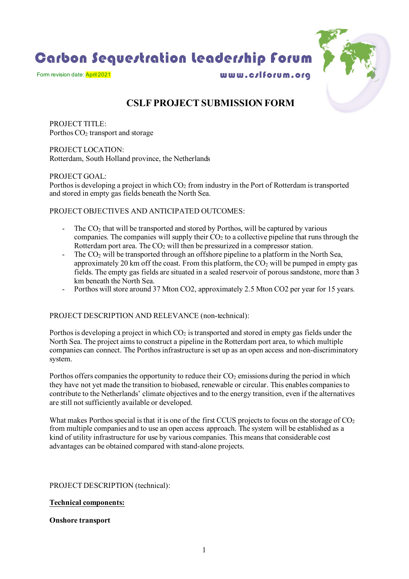Carbon Sequestration Leadership Forum



Form revision date: April 2021

www.c/lforum.org

# **CSLF PROJECT SUBMISSION FORM**

PROJECT TITLE: Porthos CO<sub>2</sub> transport and storage

PROJECT LOCATION: Rotterdam, South Holland province, the Netherlands

PROJECT GOAL:

Porthos is developing a project in which  $CO<sub>2</sub>$  from industry in the Port of Rotterdam is transported and stored in empty gas fields beneath the North Sea.

#### PROJECT OBJECTIVES AND ANTICIPATED OUTCOMES:

- The  $CO<sub>2</sub>$  that will be transported and stored by Porthos, will be captured by various companies. The companies will supply their  $CO<sub>2</sub>$  to a collective pipeline that runs through the Rotterdam port area. The  $CO<sub>2</sub>$  will then be pressurized in a compressor station.
- The  $CO<sub>2</sub>$  will be transported through an offshore pipeline to a platform in the North Sea, approximately 20 km off the coast. From this platform, the CO<sub>2</sub> will be pumped in empty gas fields. The empty gas fields are situated in a sealed reservoir of porous sandstone, more than 3 km beneath the North Sea.
- Porthos will store around 37 Mton CO2, approximately 2.5 Mton CO2 per year for 15 years.

## PROJECT DESCRIPTION AND RELEVANCE (non-technical):

Porthos is developing a project in which  $CO<sub>2</sub>$  is transported and stored in empty gas fields under the North Sea. The project aims to construct a pipeline in the Rotterdam port area, to which multiple companies can connect. The Porthos infrastructure is set up as an open access and non-discriminatory system.

Porthos offers companies the opportunity to reduce their  $CO<sub>2</sub>$  emissions during the period in which they have not yet made the transition to biobased, renewable or circular. This enables companies to contribute to the Netherlands' climate objectives and to the energy transition, even if the alternatives are still not sufficiently available or developed.

What makes Porthos special is that it is one of the first CCUS projects to focus on the storage of CO<sub>2</sub> from multiple companies and to use an open access approach. The system will be established as a kind of utility infrastructure for use by various companies. This means that considerable cost advantages can be obtained compared with stand-alone projects.

#### PROJECT DESCRIPTION (technical):

## **Technical components:**

#### **Onshore transport**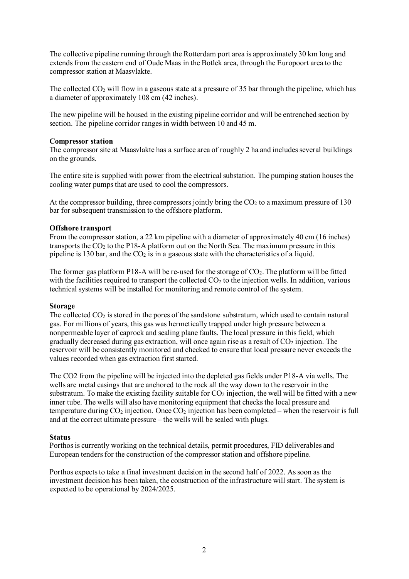The collective pipeline running through the Rotterdam port area is approximately 30 km long and extendsfrom the eastern end of Oude Maas in the Botlek area, through the Europoort area to the compressor station at Maasvlakte.

The collected  $CO<sub>2</sub>$  will flow in a gaseous state at a pressure of 35 bar through the pipeline, which has a diameter of approximately 108 cm (42 inches).

The new pipeline will be housed in the existing pipeline corridor and will be entrenched section by section. The pipeline corridor ranges in width between 10 and 45 m.

#### **Compressor station**

The compressor site at Maasvlakte has a surface area of roughly 2 ha and includes several buildings on the grounds.

The entire site is supplied with power from the electrical substation. The pumping station houses the cooling water pumps that are used to cool the compressors.

At the compressor building, three compressors jointly bring the  $CO<sub>2</sub>$  to a maximum pressure of 130 bar for subsequent transmission to the offshore platform.

#### **Offshore transport**

From the compressor station, a 22 km pipeline with a diameter of approximately 40 cm (16 inches) transports the  $CO<sub>2</sub>$  to the P18-A platform out on the North Sea. The maximum pressure in this pipeline is 130 bar, and the  $CO<sub>2</sub>$  is in a gaseous state with the characteristics of a liquid.

The former gas platform P18-A will be re-used for the storage of  $CO<sub>2</sub>$ . The platform will be fitted with the facilities required to transport the collected  $CO<sub>2</sub>$  to the injection wells. In addition, various technical systems will be installed for monitoring and remote control of the system.

#### **Storage**

The collected  $CO_2$  is stored in the pores of the sandstone substratum, which used to contain natural gas. For millions of years, this gas was hermetically trapped under high pressure between a nonpermeable layer of caprock and sealing plane faults. The local pressure in this field, which gradually decreased during gas extraction, will once again rise as a result of  $CO<sub>2</sub>$  injection. The reservoir will be consistently monitored and checked to ensure that local pressure never exceeds the values recorded when gas extraction first started.

The CO2 from the pipeline will be injected into the depleted gas fields under P18-A via wells. The wells are metal casings that are anchored to the rock all the way down to the reservoir in the substratum. To make the existing facility suitable for  $CO<sub>2</sub>$  injection, the well will be fitted with a new inner tube. The wells will also have monitoring equipment that checks the local pressure and temperature during  $CO<sub>2</sub>$  injection. Once  $CO<sub>2</sub>$  injection has been completed – when the reservoir is full and at the correct ultimate pressure – the wells will be sealed with plugs.

#### **Status**

Porthos is currently working on the technical details, permit procedures, FID deliverables and European tenders for the construction of the compressor station and offshore pipeline.

Porthos expects to take a final investment decision in the second half of 2022. As soon as the investment decision has been taken, the construction of the infrastructure will start. The system is expected to be operational by 2024/2025.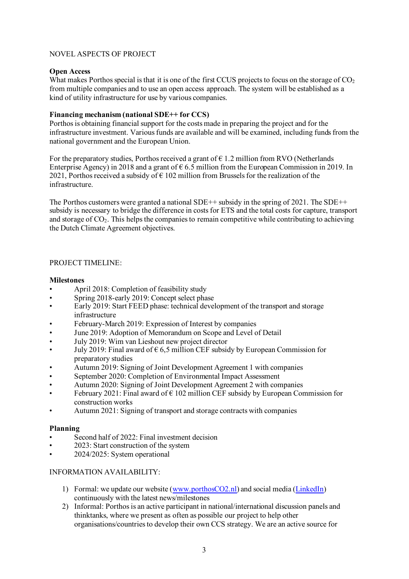#### NOVEL ASPECTS OF PROJECT

#### **Open Access**

What makes Porthos special is that it is one of the first CCUS projects to focus on the storage of  $CO<sub>2</sub>$ from multiple companies and to use an open access approach. The system will be established as a kind of utility infrastructure for use by various companies.

#### **Financing mechanism (national SDE++ for CCS)**

Porthos is obtaining financial support for the costs made in preparing the project and for the infrastructure investment. Various funds are available and will be examined, including funds from the national government and the European Union.

For the preparatory studies, Porthos received a grant of  $\epsilon$  1.2 million from RVO (Netherlands Enterprise Agency) in 2018 and a grant of  $\epsilon$  6.5 million from the European Commission in 2019. In 2021, Porthos received a subsidy of  $\epsilon$  102 million from Brussels for the realization of the infrastructure.

The Porthos customers were granted a national SDE++ subsidy in the spring of 2021. The SDE++ subsidy is necessary to bridge the difference in costs for ETS and the total costs for capture, transport and storage of CO2. This helps the companies to remain competitive while contributing to achieving the Dutch Climate Agreement objectives.

#### PROJECT TIMELINE:

#### **Milestones**

- April 2018: Completion of feasibility study
- Spring 2018-early 2019: Concept select phase
- Early 2019: Start FEED phase: technical development of the transport and storage infrastructure
- February-March 2019: Expression of Interest by companies
- June 2019: Adoption of Memorandum on Scope and Level of Detail
- July 2019: Wim van Lieshout new project director
- July 2019: Final award of  $\epsilon$  6,5 million CEF subsidy by European Commission for preparatory studies
- Autumn 2019: Signing of Joint Development Agreement 1 with companies
- September 2020: Completion of Environmental Impact Assessment
- Autumn 2020: Signing of Joint Development Agreement 2 with companies
- February 2021: Final award of  $\epsilon$  102 million CEF subsidy by European Commission for construction works
- Autumn 2021: Signing of transport and storage contracts with companies

## **Planning**

- Second half of 2022: Final investment decision
- 2023: Start construction of the system
- 2024/2025: System operational

## INFORMATION AVAILABILITY:

- 1) Formal: we update our website [\(www.porthosCO2.nl\)](http://www.porthosco2.nl/) and social media [\(LinkedIn\)](https://www.linkedin.com/company/porthos-co2/mycompany/) continuously with the latest news/milestones
- 2) Informal: Porthos is an active participant in national/international discussion panels and thinktanks, where we present as often as possible our project to help other organisations/countries to develop their own CCS strategy. We are an active source for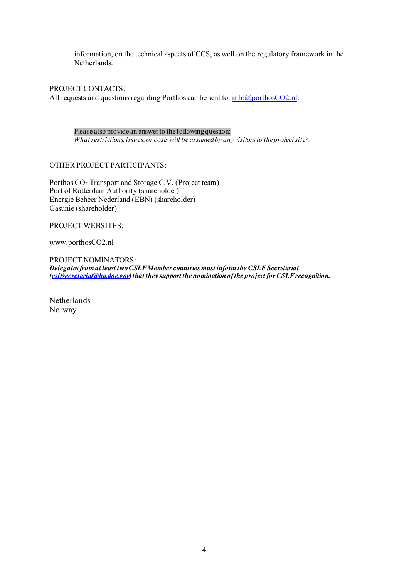information, on the technical aspects of CCS, as well on the regulatory framework in the Netherlands.

PROJECT CONTACTS: All requests and questions regarding Porthos can be sent to:  $\inf_{\alpha}$  info $\alpha$  porthosCO2.nl.

Please also provide an answer to the following question: *What restrictions, issues, or costs will be assumed by any visitors to the project site?* 

OTHER PROJECT PARTICIPANTS:

Porthos CO<sub>2</sub> Transport and Storage C.V. (Project team) Port of Rotterdam Authority (shareholder) Energie Beheer Nederland (EBN) (shareholder) Gasunie (shareholder)

PROJECT WEBSITES:

www.porthosCO2.nl

PROJECT NOMINATORS: *Delegates from at least two CSLF Member countries must inform the CSLF Secretariat [\(cslfsecretariat@hq.doe.gov](mailto:cslfsecretariat@hq.doe.gov)) that they support the nomination of the project for CSLF recognition.* 

Netherlands Norway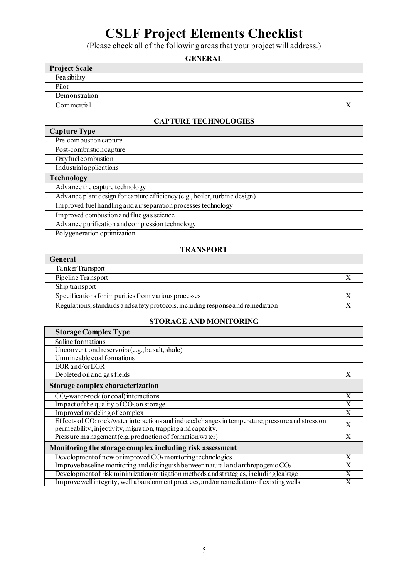# **CSLF Project Elements Checklist**

(Please check all of the following areas that your project will address.)

# **GENERAL**

| <b>Project Scale</b> |  |
|----------------------|--|
| Feasibility          |  |
| Pilot                |  |
| Demonstration        |  |
| Commercial           |  |

## **CAPTURE TECHNOLOGIES**

| <b>Capture Type</b>                                                        |  |
|----------------------------------------------------------------------------|--|
| Pre-combustion capture                                                     |  |
| Post-combustion capture                                                    |  |
| Oxyfuelcombustion                                                          |  |
| Industrial applications                                                    |  |
| <b>Technology</b>                                                          |  |
| Advance the capture technology                                             |  |
| Advance plant design for capture efficiency (e.g., boiler, turbine design) |  |
| Improved fuel handling and a ir separation processes technology            |  |
| Improved combustion and flue gas science                                   |  |
| Advance purification and compression technology                            |  |
| Polygeneration optimization                                                |  |

#### **TRANSPORT**

| <b>General</b>                                                                  |  |
|---------------------------------------------------------------------------------|--|
| Tanker Transport                                                                |  |
| Pipeline Transport                                                              |  |
| Ship transport                                                                  |  |
| Specifications for impurities from various processes                            |  |
| Regulations, standards and safety protocols, including response and remediation |  |

## **STORAGE AND MONITORING**

| <b>Storage Complex Type</b>                                                                                   |   |
|---------------------------------------------------------------------------------------------------------------|---|
| Saline formations                                                                                             |   |
| Unconventional reservoirs (e.g., basalt, shale)                                                               |   |
| Unmineable coal formations                                                                                    |   |
| EOR and/or EGR                                                                                                |   |
| Depleted oil and gas fields                                                                                   | X |
| Storage complex characterization                                                                              |   |
| $CO2$ -water-rock (or coal) interactions                                                                      | X |
| Impact of the quality of $CO2$ on storage                                                                     | X |
| Improved modeling of complex                                                                                  | X |
| Effects of CO <sub>2</sub> rock/water interactions and induced changes in temperature, pressure and stress on | X |
| permeability, injectivity, migration, trapping and capacity.                                                  |   |
| Pressure management (e.g. production of formation water)                                                      |   |
| Monitoring the storage complex including risk assessment                                                      |   |
| Development of new or improved $CO_2$ monitoring technologies                                                 |   |
| Improve baseline monitoring and distinguish between natural and anthropogenic $CO2$                           |   |
| Development of risk minimization/mitigation methods and strategies, including leakage                         |   |
| Improve well integrity, well a bandonment practices, and/or remediation of existing wells                     |   |